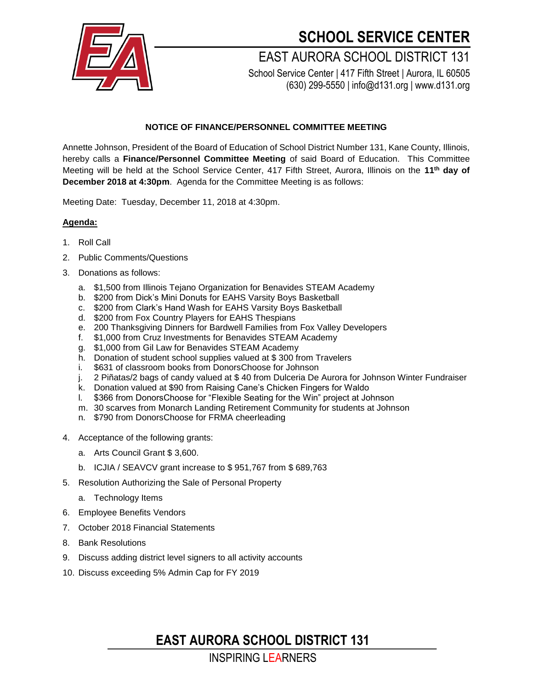

## **SCHOOL SERVICE CENTER**

EAST AURORA SCHOOL DISTRICT 131 School Service Center | 417 Fifth Street | Aurora, IL 60505

(630) 299-5550 | info@d131.org | www.d131.org

#### **NOTICE OF FINANCE/PERSONNEL COMMITTEE MEETING**

Annette Johnson, President of the Board of Education of School District Number 131, Kane County, Illinois, hereby calls a **Finance/Personnel Committee Meeting** of said Board of Education. This Committee Meeting will be held at the School Service Center, 417 Fifth Street, Aurora, Illinois on the **11th day of December 2018 at 4:30pm**. Agenda for the Committee Meeting is as follows:

Meeting Date: Tuesday, December 11, 2018 at 4:30pm.

#### **Agenda:**

- 1. Roll Call
- 2. Public Comments/Questions
- 3. Donations as follows:
	- a. \$1,500 from Illinois Tejano Organization for Benavides STEAM Academy
	- b. \$200 from Dick's Mini Donuts for EAHS Varsity Boys Basketball
	- c. \$200 from Clark's Hand Wash for EAHS Varsity Boys Basketball
	- d. \$200 from Fox Country Players for EAHS Thespians
	- e. 200 Thanksgiving Dinners for Bardwell Families from Fox Valley Developers
	- f. \$1,000 from Cruz Investments for Benavides STEAM Academy
	- g. \$1,000 from Gil Law for Benavides STEAM Academy
	- h. Donation of student school supplies valued at \$ 300 from Travelers
	- i. \$631 of classroom books from DonorsChoose for Johnson
	- j. 2 Piñatas/2 bags of candy valued at \$ 40 from Dulceria De Aurora for Johnson Winter Fundraiser
	- k. Donation valued at \$90 from Raising Cane's Chicken Fingers for Waldo
	- l. \$366 from DonorsChoose for "Flexible Seating for the Win" project at Johnson
	- m. 30 scarves from Monarch Landing Retirement Community for students at Johnson
	- n. \$790 from DonorsChoose for FRMA cheerleading
- 4. Acceptance of the following grants:
	- a. Arts Council Grant \$ 3,600.
	- b. ICJIA / SEAVCV grant increase to \$ 951,767 from \$ 689,763
- 5. Resolution Authorizing the Sale of Personal Property
	- a. Technology Items
- 6. Employee Benefits Vendors
- 7. October 2018 Financial Statements
- 8. Bank Resolutions
- 9. Discuss adding district level signers to all activity accounts
- 10. Discuss exceeding 5% Admin Cap for FY 2019

**EAST AURORA SCHOOL DISTRICT 131**